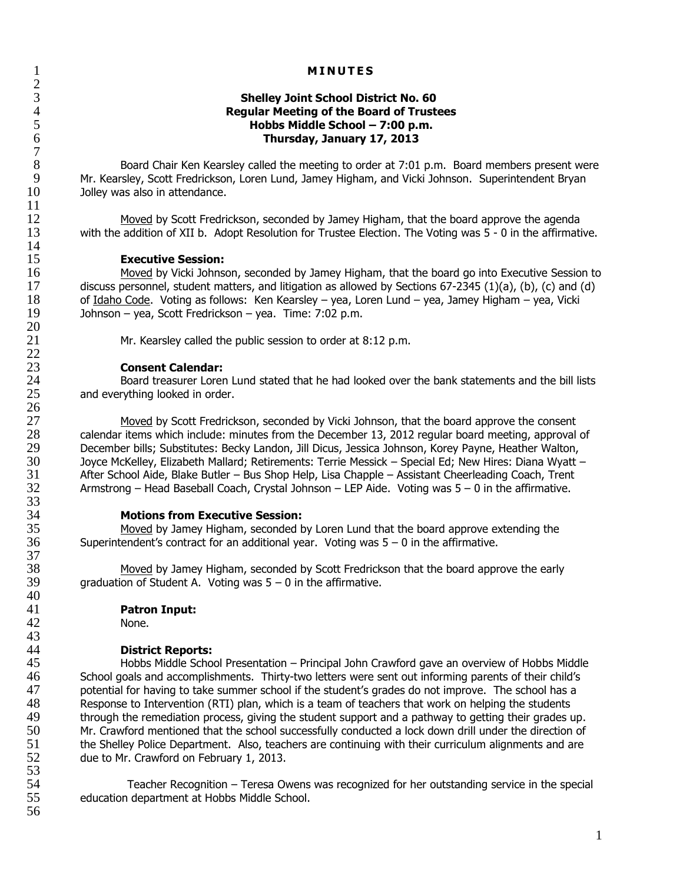$rac{2}{3}$  $7\over 8$  $\frac{11}{12}$  $\frac{14}{15}$  $\frac{20}{21}$  $\frac{22}{23}$ 26 33<br>34 37 40 43

# 1 **MINUTES**

# 3 **Shelley Joint School District No. 60** 4 **Regular Meeting of the Board of Trustees** 5 **Hobbs Middle School – 7:00 p.m.** 6 **Thursday, January 17, 2013**

8 Board Chair Ken Kearsley called the meeting to order at 7:01 p.m. Board members present were<br>9 Mr. Kearsley, Scott Fredrickson, Loren Lund, Jamey Higham, and Vicki Johnson. Superintendent Bryan 9 Mr. Kearsley, Scott Fredrickson, Loren Lund, Jamey Higham, and Vicki Johnson. Superintendent Bryan<br>10 Jolley was also in attendance. Jolley was also in attendance.

12 Moved by Scott Fredrickson, seconded by Jamey Higham, that the board approve the agenda<br>13 with the addition of XII b. Adopt Resolution for Trustee Election. The Voting was 5 - 0 in the affirmati with the addition of XII b. Adopt Resolution for Trustee Election. The Voting was 5 - 0 in the affirmative.

## **Executive Session:**

16 Moved by Vicki Johnson, seconded by Jamey Higham, that the board go into Executive Session to 17 discuss personnel, student matters, and litigation as allowed by Sections 67-2345 (1)(a), (b), (c) and (d)<br>18 of Idaho Code. Voting as follows: Ken Kearsley – yea, Loren Lund – yea, Jamey Higham – yea, Vicki 18 of <u>Idaho Code</u>. Voting as follows: Ken Kearsley – yea, Loren Lund – yea, Jamey Higham – yea, Vicki<br>19 Johnson – yea, Scott Fredrickson – yea. Time: 7:02 p.m. 19 Johnson – yea, Scott Fredrickson – yea. Time: 7:02 p.m.

Mr. Kearsley called the public session to order at 8:12 p.m.

23 **Consent Calendar:** 24 Board treasurer Loren Lund stated that he had looked over the bank statements and the bill lists<br>25 and everything looked in order. and everything looked in order.

27 Moved by Scott Fredrickson, seconded by Vicki Johnson, that the board approve the consent 28 calendar items which include: minutes from the December 13, 2012 regular board meeting, approval of 29 ceember bills; Substitutes: Becky Landon, Jill Dicus, Jessica Johnson, Korey Payne, Heather Walton, 29 December bills; Substitutes: Becky Landon, Jill Dicus, Jessica Johnson, Korey Payne, Heather Walton,<br>30 Jovce McKellev, Elizabeth Mallard: Retirements: Terrie Messick – Special Ed: New Hires: Diana Wyatt 30 Joyce McKelley, Elizabeth Mallard; Retirements: Terrie Messick – Special Ed; New Hires: Diana Wyatt – 31 After School Aide, Blake Butler – Bus Shop Help, Lisa Chapple – Assistant Cheerleading Coach, Trent<br>32 Armstrong – Head Baseball Coach, Crystal Johnson – LEP Aide. Voting was 5 – 0 in the affirmative. 32 Armstrong – Head Baseball Coach, Crystal Johnson – LEP Aide. Voting was 5 – 0 in the affirmative.

34 **Motions from Executive Session:** Moved by Jamey Higham, seconded by Loren Lund that the board approve extending the 36 Superintendent's contract for an additional year. Voting was 5 – 0 in the affirmative.

38 Moved by Jamey Higham, seconded by Scott Fredrickson that the board approve the early<br>39 graduation of Student A. Voting was  $5 - 0$  in the affirmative. graduation of Student A. Voting was  $5 - 0$  in the affirmative.

# 41 **Patron Input:**

42 None.

44 **District Reports:** 45 Hobbs Middle School Presentation – Principal John Crawford gave an overview of Hobbs Middle<br>46 School goals and accomplishments. Thirty-two letters were sent out informing parents of their child's 46 School goals and accomplishments. Thirty-two letters were sent out informing parents of their child's 47 potential for having to take summer school if the student's grades do not improve. The school has a 48 Response to Intervention (RTI) plan, which is a team of teachers that work on helping the students<br>49 through the remediation process, giving the student support and a pathway to getting their grades u 49 through the remediation process, giving the student support and a pathway to getting their grades up.<br>50 Mr. Crawford mentioned that the school successfully conducted a lock down drill under the direction of Mr. Crawford mentioned that the school successfully conducted a lock down drill under the direction of 51 the Shelley Police Department. Also, teachers are continuing with their curriculum alignments and are 52 due to Mr. Crawford on February 1, 2013.

53 54 Teacher Recognition – Teresa Owens was recognized for her outstanding service in the special<br>55 education department at Hobbs Middle School. education department at Hobbs Middle School. 56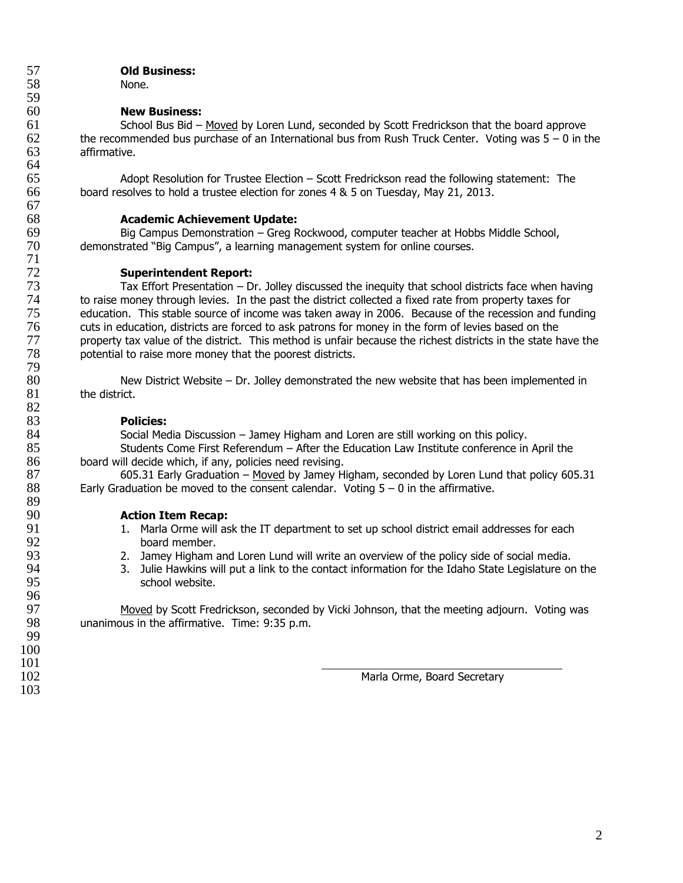# 57 **Old Business:** None.

# **New Business:**

61 School Bus Bid – Moved by Loren Lund, seconded by Scott Fredrickson that the board approve 62 the recommended bus purchase of an International bus from Rush Truck Center. Voting was  $5 - 0$  in the 63 affirmative.

65 Adopt Resolution for Trustee Election – Scott Fredrickson read the following statement: The 66 board resolves to hold a trustee election for zones 4 & 5 on Tuesday, May 21, 2013. board resolves to hold a trustee election for zones 4 & 5 on Tuesday, May 21, 2013.

68 **Academic Achievement Update:** 69 Big Campus Demonstration – Greg Rockwood, computer teacher at Hobbs Middle School,<br>70 demonstrated "Big Campus", a learning management system for online courses. demonstrated "Big Campus", a learning management system for online courses.

# **Superintendent Report:**

73 Tax Effort Presentation – Dr. Jolley discussed the inequity that school districts face when having The to raise money through levies. In the past the district collected a fixed rate from property taxes for<br>
75 education. This stable source of income was taken away in 2006. Because of the recession and fur 75 education. This stable source of income was taken away in 2006. Because of the recession and funding<br>76 cuts in education, districts are forced to ask patrons for money in the form of levies based on the 76 cuts in education, districts are forced to ask patrons for money in the form of levies based on the 77 property tax value of the district. This method is unfair because the richest districts in the state have the<br>78 potential to raise more money that the poorest districts. potential to raise more money that the poorest districts.

80 New District Website – Dr. Jolley demonstrated the new website that has been implemented in  $81$  the district. the district.

# 83 **Policies:**

84 Social Media Discussion – Jamey Higham and Loren are still working on this policy.

85 Students Come First Referendum – After the Education Law Institute conference in April the 86 board will decide which, if any, policies need revising.

87 605.31 Early Graduation – Moved by Jamey Higham, seconded by Loren Lund that policy 605.31<br>88 Early Graduation be moved to the consent calendar. Voting  $5 - 0$  in the affirmative. Early Graduation be moved to the consent calendar. Voting  $5 - 0$  in the affirmative.

# 90 **Action Item Recap:**<br>91 **1.** Marla Orme will as

- 91 1. Marla Orme will ask the IT department to set up school district email addresses for each<br>92 board member. 92 board member.<br>93 **board member.**<br>2. Jamey Higham a
	- 2. Jamey Higham and Loren Lund will write an overview of the policy side of social media.
- 94 3. Julie Hawkins will put a link to the contact information for the Idaho State Legislature on the school website.

97 Moved by Scott Fredrickson, seconded by Vicki Johnson, that the meeting adjourn. Voting was 98 unanimous in the affirmative. Time: 9:35 p.m. 98 unanimous in the affirmative. Time: 9:35 p.m.

Marla Orme, Board Secretary